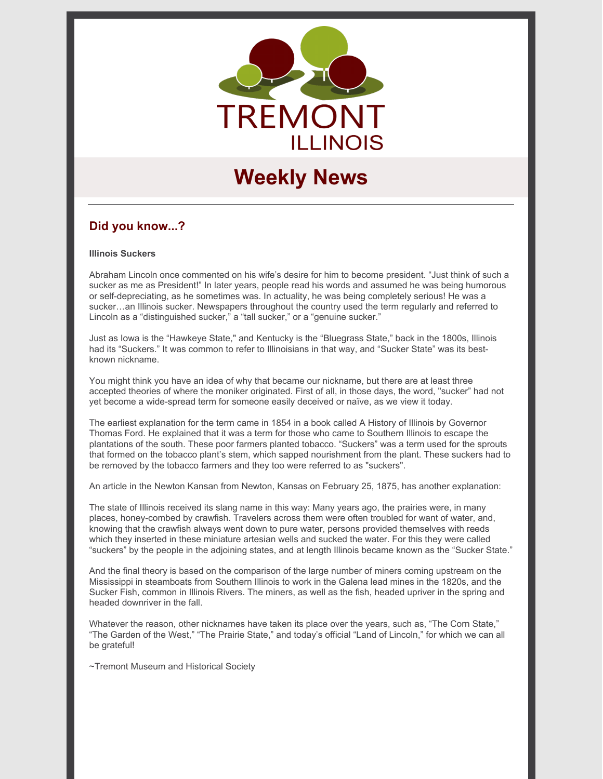

# **Weekly News**

# **Did you know...?**

#### **Illinois Suckers**

Abraham Lincoln once commented on his wife's desire for him to become president. "Just think of such a sucker as me as President!" In later years, people read his words and assumed he was being humorous or self-depreciating, as he sometimes was. In actuality, he was being completely serious! He was a sucker…an Illinois sucker. Newspapers throughout the country used the term regularly and referred to Lincoln as a "distinguished sucker," a "tall sucker," or a "genuine sucker."

Just as Iowa is the "Hawkeye State," and Kentucky is the "Bluegrass State," back in the 1800s, Illinois had its "Suckers." It was common to refer to Illinoisians in that way, and "Sucker State" was its bestknown nickname.

You might think you have an idea of why that became our nickname, but there are at least three accepted theories of where the moniker originated. First of all, in those days, the word, "sucker" had not yet become a wide-spread term for someone easily deceived or naïve, as we view it today.

The earliest explanation for the term came in 1854 in a book called A History of Illinois by Governor Thomas Ford. He explained that it was a term for those who came to Southern Illinois to escape the plantations of the south. These poor farmers planted tobacco. "Suckers" was a term used for the sprouts that formed on the tobacco plant's stem, which sapped nourishment from the plant. These suckers had to be removed by the tobacco farmers and they too were referred to as "suckers".

An article in the Newton Kansan from Newton, Kansas on February 25, 1875, has another explanation:

The state of Illinois received its slang name in this way: Many years ago, the prairies were, in many places, honey-combed by crawfish. Travelers across them were often troubled for want of water, and, knowing that the crawfish always went down to pure water, persons provided themselves with reeds which they inserted in these miniature artesian wells and sucked the water. For this they were called "suckers" by the people in the adjoining states, and at length Illinois became known as the "Sucker State."

And the final theory is based on the comparison of the large number of miners coming upstream on the Mississippi in steamboats from Southern Illinois to work in the Galena lead mines in the 1820s, and the Sucker Fish, common in Illinois Rivers. The miners, as well as the fish, headed upriver in the spring and headed downriver in the fall.

Whatever the reason, other nicknames have taken its place over the years, such as, "The Corn State," "The Garden of the West," "The Prairie State," and today's official "Land of Lincoln," for which we can all be grateful!

~Tremont Museum and Historical Society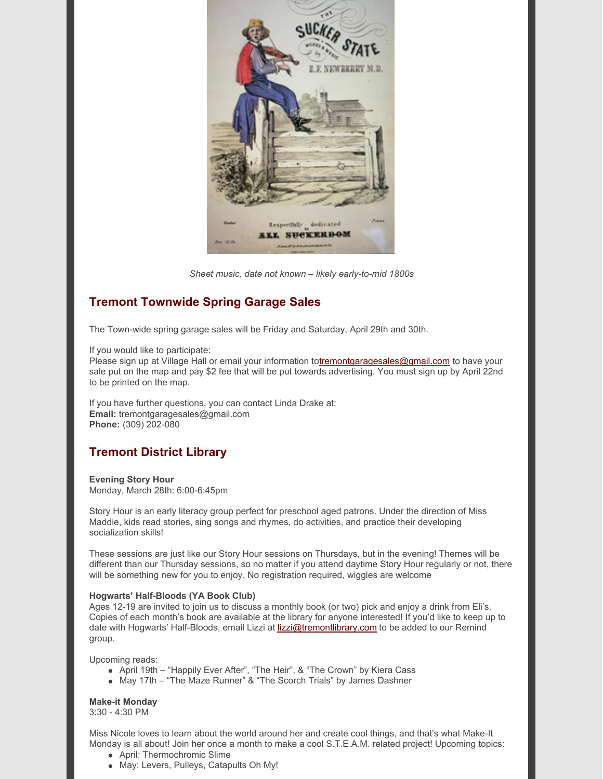

*Sheet music, date not known – likely early-to-mid 1800s*

# **Tremont Townwide Spring Garage Sales**

The Town-wide spring garage sales will be Friday and Saturday, April 29th and 30th.

If you would like to participate:

Please sign up at Village Hall or email your information t[otremontgaragesales@gmail.com](mailto:tremontgaragesales@gmail.com) to have your sale put on the map and pay \$2 fee that will be put towards advertising. You must sign up by April 22nd to be printed on the map.

If you have further questions, you can contact Linda Drake at: **Email:** tremontgaragesales@gmail.com **Phone:** (309) 202-080

# **Tremont District Library**

**Evening Story Hour** Monday, March 28th: 6:00-6:45pm

Story Hour is an early literacy group perfect for preschool aged patrons. Under the direction of Miss Maddie, kids read stories, sing songs and rhymes, do activities, and practice their developing socialization skills!

These sessions are just like our Story Hour sessions on Thursdays, but in the evening! Themes will be different than our Thursday sessions, so no matter if you attend daytime Story Hour regularly or not, there will be something new for you to enjoy. No registration required, wiggles are welcome

#### **Hogwarts' Half-Bloods (YA Book Club)**

Ages 12-19 are invited to join us to discuss a monthly book (or two) pick and enjoy a drink from Eli's. Copies of each month's book are available at the library for anyone interested! If you'd like to keep up to date with Hogwarts' Half-Bloods, email Lizzi at [lizzi@tremontlibrary.com](mailto:lizzi@tremontlibrary.com) to be added to our Remind group.

Upcoming reads:

- April 19th "Happily Ever After", "The Heir", & "The Crown" by Kiera Cass
- May 17th "The Maze Runner" & "The Scorch Trials" by James Dashner

### **Make-it Monday**

3:30 - 4:30 PM

Miss Nicole loves to learn about the world around her and create cool things, and that's what Make-It Monday is all about! Join her once a month to make a cool S.T.E.A.M. related project! Upcoming topics:

- April: Thermochromic Slime
- May: Levers, Pulleys, Catapults Oh My!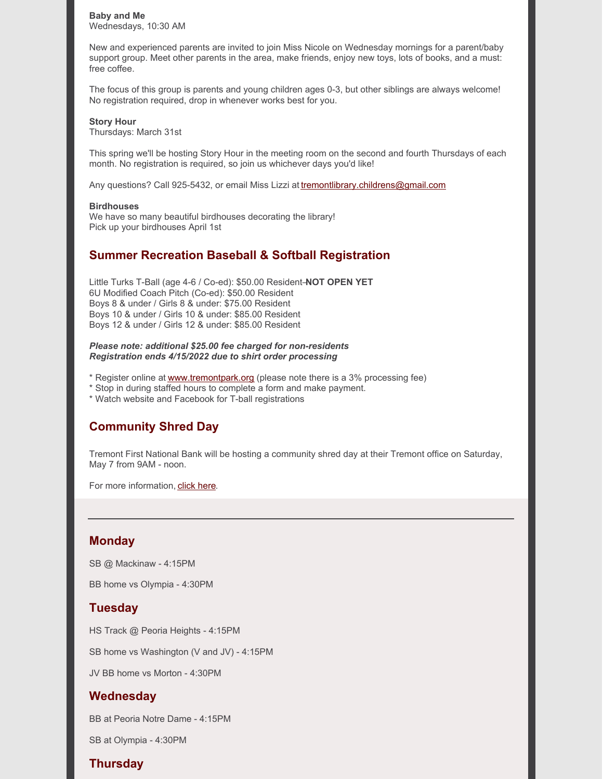**Baby and Me** Wednesdays, 10:30 AM

New and experienced parents are invited to join Miss Nicole on Wednesday mornings for a parent/baby support group. Meet other parents in the area, make friends, enjoy new toys, lots of books, and a must: free coffee.

The focus of this group is parents and young children ages 0-3, but other siblings are always welcome! No registration required, drop in whenever works best for you.

#### **Story Hour**

Thursdays: March 31st

This spring we'll be hosting Story Hour in the meeting room on the second and fourth Thursdays of each month. No registration is required, so join us whichever days you'd like!

Any questions? Call 925-5432, or email Miss Lizzi at [tremontlibrary.childrens@gmail.com](mailto:tremontlibrary.childrens@gmail.com)

#### **Birdhouses**

We have so many beautiful birdhouses decorating the library! Pick up your birdhouses April 1st

## **Summer Recreation Baseball & Softball Registration**

Little Turks T-Ball (age 4-6 / Co-ed): \$50.00 Resident–**NOT OPEN YET** 6U Modified Coach Pitch (Co-ed): \$50.00 Resident Boys 8 & under / Girls 8 & under: \$75.00 Resident Boys 10 & under / Girls 10 & under: \$85.00 Resident Boys 12 & under / Girls 12 & under: \$85.00 Resident

#### *Please note: additional \$25.00 fee charged for non-residents Registration ends 4/15/2022 due to shirt order processing*

\* Register online at [www.tremontpark.org](http://www.tremontpark.org) (please note there is a 3% processing fee)

\* Stop in during staffed hours to complete a form and make payment.

\* Watch website and Facebook for T-ball registrations

# **Community Shred Day**

Tremont First National Bank will be hosting a community shred day at their Tremont office on Saturday, May 7 from 9AM - noon.

For more information, click [here.](https://www.tremontil.com/Tremont-news/2022/Shred_Day.pdf)

### **Monday**

SB @ Mackinaw - 4:15PM

BB home vs Olympia - 4:30PM

# **Tuesday**

HS Track @ Peoria Heights - 4:15PM

SB home vs Washington (V and JV) - 4:15PM

JV BB home vs Morton - 4:30PM

### **Wednesday**

BB at Peoria Notre Dame - 4:15PM

SB at Olympia - 4:30PM

# **Thursday**